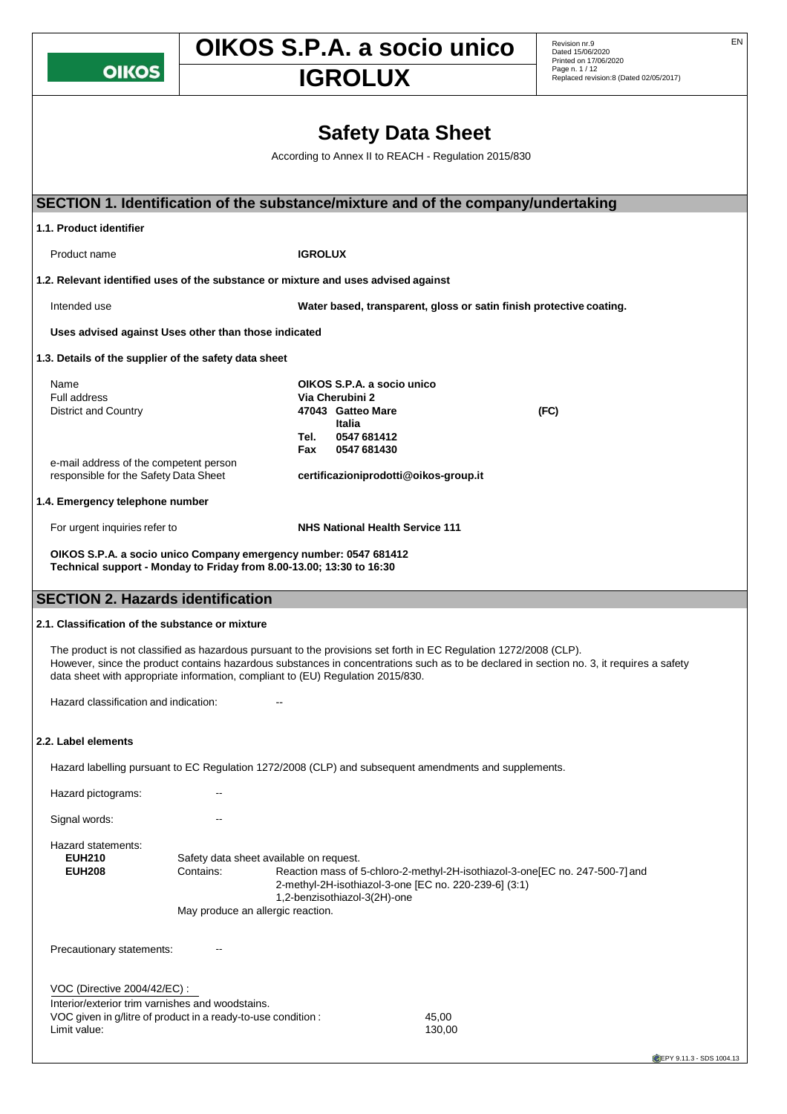**OIKOS** 

# **OIKOS S.P.A. a socio unico** Revision nr.9

Dated 15/06/2020 Printed on 17/06/2020 Page n. 1 / 12

# Replaced revision:8 (Dated 02/05/2017) **IGROLUX**

**Safety Data Sheet**

According to Annex II to REACH - Regulation 2015/830

| SECTION 1. Identification of the substance/mixture and of the company/undertaking                                                                                                                                                                                                                                                                |                                                                                                                                                                                                                                                                    |                |                                                                                             |                                                                     |      |  |  |  |
|--------------------------------------------------------------------------------------------------------------------------------------------------------------------------------------------------------------------------------------------------------------------------------------------------------------------------------------------------|--------------------------------------------------------------------------------------------------------------------------------------------------------------------------------------------------------------------------------------------------------------------|----------------|---------------------------------------------------------------------------------------------|---------------------------------------------------------------------|------|--|--|--|
| 1.1. Product identifier                                                                                                                                                                                                                                                                                                                          |                                                                                                                                                                                                                                                                    |                |                                                                                             |                                                                     |      |  |  |  |
| Product name                                                                                                                                                                                                                                                                                                                                     |                                                                                                                                                                                                                                                                    | <b>IGROLUX</b> |                                                                                             |                                                                     |      |  |  |  |
| 1.2. Relevant identified uses of the substance or mixture and uses advised against                                                                                                                                                                                                                                                               |                                                                                                                                                                                                                                                                    |                |                                                                                             |                                                                     |      |  |  |  |
| Intended use                                                                                                                                                                                                                                                                                                                                     |                                                                                                                                                                                                                                                                    |                |                                                                                             | Water based, transparent, gloss or satin finish protective coating. |      |  |  |  |
| Uses advised against Uses other than those indicated                                                                                                                                                                                                                                                                                             |                                                                                                                                                                                                                                                                    |                |                                                                                             |                                                                     |      |  |  |  |
| 1.3. Details of the supplier of the safety data sheet                                                                                                                                                                                                                                                                                            |                                                                                                                                                                                                                                                                    |                |                                                                                             |                                                                     |      |  |  |  |
| Name<br>Full address<br><b>District and Country</b>                                                                                                                                                                                                                                                                                              |                                                                                                                                                                                                                                                                    | Tel.           | OIKOS S.P.A. a socio unico<br>Via Cherubini 2<br>47043 Gatteo Mare<br>Italia<br>0547 681412 |                                                                     | (FC) |  |  |  |
| e-mail address of the competent person<br>responsible for the Safety Data Sheet                                                                                                                                                                                                                                                                  |                                                                                                                                                                                                                                                                    | Fax            | 0547 681430<br>certificazioniprodotti@oikos-group.it                                        |                                                                     |      |  |  |  |
| 1.4. Emergency telephone number                                                                                                                                                                                                                                                                                                                  |                                                                                                                                                                                                                                                                    |                |                                                                                             |                                                                     |      |  |  |  |
| For urgent inquiries refer to                                                                                                                                                                                                                                                                                                                    |                                                                                                                                                                                                                                                                    |                | <b>NHS National Health Service 111</b>                                                      |                                                                     |      |  |  |  |
|                                                                                                                                                                                                                                                                                                                                                  | OIKOS S.P.A. a socio unico Company emergency number: 0547 681412<br>Technical support - Monday to Friday from 8.00-13.00; 13:30 to 16:30                                                                                                                           |                |                                                                                             |                                                                     |      |  |  |  |
| <b>SECTION 2. Hazards identification</b>                                                                                                                                                                                                                                                                                                         |                                                                                                                                                                                                                                                                    |                |                                                                                             |                                                                     |      |  |  |  |
| 2.1. Classification of the substance or mixture                                                                                                                                                                                                                                                                                                  |                                                                                                                                                                                                                                                                    |                |                                                                                             |                                                                     |      |  |  |  |
| The product is not classified as hazardous pursuant to the provisions set forth in EC Regulation 1272/2008 (CLP).<br>However, since the product contains hazardous substances in concentrations such as to be declared in section no. 3, it requires a safety<br>data sheet with appropriate information, compliant to (EU) Regulation 2015/830. |                                                                                                                                                                                                                                                                    |                |                                                                                             |                                                                     |      |  |  |  |
| Hazard classification and indication:                                                                                                                                                                                                                                                                                                            |                                                                                                                                                                                                                                                                    |                |                                                                                             |                                                                     |      |  |  |  |
| 2.2. Label elements                                                                                                                                                                                                                                                                                                                              |                                                                                                                                                                                                                                                                    |                |                                                                                             |                                                                     |      |  |  |  |
| Hazard labelling pursuant to EC Regulation 1272/2008 (CLP) and subsequent amendments and supplements.                                                                                                                                                                                                                                            |                                                                                                                                                                                                                                                                    |                |                                                                                             |                                                                     |      |  |  |  |
| Hazard pictograms:                                                                                                                                                                                                                                                                                                                               |                                                                                                                                                                                                                                                                    |                |                                                                                             |                                                                     |      |  |  |  |
| Signal words:                                                                                                                                                                                                                                                                                                                                    |                                                                                                                                                                                                                                                                    |                |                                                                                             |                                                                     |      |  |  |  |
| Hazard statements:<br><b>EUH210</b><br><b>EUH208</b>                                                                                                                                                                                                                                                                                             | Safety data sheet available on request.<br>Contains:<br>Reaction mass of 5-chloro-2-methyl-2H-isothiazol-3-one[EC no. 247-500-7] and<br>2-methyl-2H-isothiazol-3-one [EC no. 220-239-6] (3:1)<br>1,2-benzisothiazol-3(2H)-one<br>May produce an allergic reaction. |                |                                                                                             |                                                                     |      |  |  |  |
| Precautionary statements:                                                                                                                                                                                                                                                                                                                        |                                                                                                                                                                                                                                                                    |                |                                                                                             |                                                                     |      |  |  |  |
| VOC (Directive 2004/42/EC) :<br>Interior/exterior trim varnishes and woodstains.<br>VOC given in g/litre of product in a ready-to-use condition :<br>Limit value:                                                                                                                                                                                |                                                                                                                                                                                                                                                                    |                |                                                                                             | 45,00<br>130,00                                                     |      |  |  |  |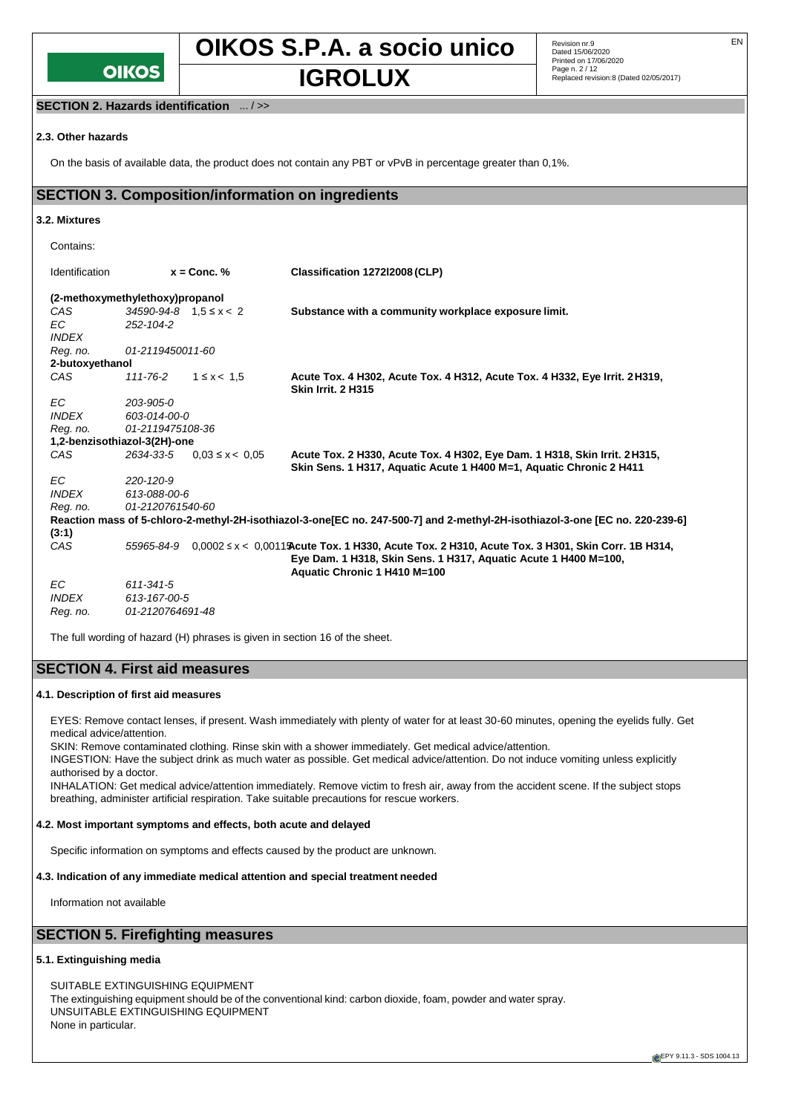

**OIKOS S.P.A. a socio unico** Revision nr.9

Revision nr.9<br>Dated 15/06/2020 Printed on 17/06/2020 Page n. 2 / 12 **IGROLUX** Page n. 2/12<br> **IGROLUX** Replaced revision:8 (Dated 02/05/2017)

### **SECTION 2. Hazards identification** ... / >>

#### **2.3. Other hazards**

On the basis of available data, the product does not contain any PBT or vPvB in percentage greater than 0,1%.

## **SECTION 3. Composition/information on ingredients**

#### **3.2. Mixtures**

| Contains:                       |                                  |                     |                                                                                                                                                                                                         |
|---------------------------------|----------------------------------|---------------------|---------------------------------------------------------------------------------------------------------------------------------------------------------------------------------------------------------|
| Identification                  |                                  | $x =$ Conc. $%$     | Classification 127212008 (CLP)                                                                                                                                                                          |
| (2-methoxymethylethoxy)propanol |                                  |                     |                                                                                                                                                                                                         |
| CAS                             | $34590 - 94 - 8$ $1.5 \le x < 2$ |                     | Substance with a community workplace exposure limit.                                                                                                                                                    |
| ЕC                              | 252-104-2                        |                     |                                                                                                                                                                                                         |
| <b>INDEX</b>                    |                                  |                     |                                                                                                                                                                                                         |
| Reg. no.                        | 01-2119450011-60                 |                     |                                                                                                                                                                                                         |
| 2-butoxyethanol                 |                                  |                     |                                                                                                                                                                                                         |
| CAS                             | 111-76-2                         | $1 \le x < 1.5$     | Acute Tox. 4 H302, Acute Tox. 4 H312, Acute Tox. 4 H332, Eye Irrit. 2 H319,<br><b>Skin Irrit. 2 H315</b>                                                                                                |
| ЕC                              | 203-905-0                        |                     |                                                                                                                                                                                                         |
| <b>INDEX</b>                    | 603-014-00-0                     |                     |                                                                                                                                                                                                         |
| Reg. no.                        | 01-2119475108-36                 |                     |                                                                                                                                                                                                         |
| 1,2-benzisothiazol-3(2H)-one    |                                  |                     |                                                                                                                                                                                                         |
| CAS                             | 2634-33-5                        | $0.03 \le x < 0.05$ | Acute Tox. 2 H330, Acute Tox. 4 H302, Eye Dam. 1 H318, Skin Irrit. 2 H315,<br>Skin Sens. 1 H317, Aquatic Acute 1 H400 M=1, Aquatic Chronic 2 H411                                                       |
| EC                              | 220-120-9                        |                     |                                                                                                                                                                                                         |
| <b>INDEX</b>                    | 613-088-00-6                     |                     |                                                                                                                                                                                                         |
| Req. no.                        | 01-2120761540-60                 |                     |                                                                                                                                                                                                         |
|                                 |                                  |                     | Reaction mass of 5-chloro-2-methyl-2H-isothiazol-3-one EC no. 247-500-7] and 2-methyl-2H-isothiazol-3-one [EC no. 220-239-6]                                                                            |
| (3:1)                           |                                  |                     |                                                                                                                                                                                                         |
| CAS                             | 55965-84-9                       |                     | $0,0002 \le x < 0,0011$ Acute Tox. 1 H330, Acute Tox. 2 H310, Acute Tox. 3 H301, Skin Corr. 1B H314,<br>Eye Dam. 1 H318, Skin Sens. 1 H317, Aquatic Acute 1 H400 M=100,<br>Aquatic Chronic 1 H410 M=100 |
| ЕC                              | 611-341-5                        |                     |                                                                                                                                                                                                         |
| <b>INDEX</b>                    | 613-167-00-5                     |                     |                                                                                                                                                                                                         |
| Reg. no.                        | 01-2120764691-48                 |                     |                                                                                                                                                                                                         |

The full wording of hazard (H) phrases is given in section 16 of the sheet.

## **SECTION 4. First aid measures**

#### **4.1. Description of first aid measures**

EYES: Remove contact lenses, if present. Wash immediately with plenty of water for at least 30-60 minutes, opening the eyelids fully. Get medical advice/attention.

SKIN: Remove contaminated clothing. Rinse skin with a shower immediately. Get medical advice/attention.

INGESTION: Have the subject drink as much water as possible. Get medical advice/attention. Do not induce vomiting unless explicitly authorised by a doctor.

INHALATION: Get medical advice/attention immediately. Remove victim to fresh air, away from the accident scene. If the subject stops breathing, administer artificial respiration. Take suitable precautions for rescue workers.

#### **4.2. Most important symptoms and effects, both acute and delayed**

Specific information on symptoms and effects caused by the product are unknown.

### **4.3. Indication of any immediate medical attention and special treatment needed**

Information not available

## **SECTION 5. Firefighting measures**

#### **5.1. Extinguishing media**

SUITABLE EXTINGUISHING EQUIPMENT The extinguishing equipment should be of the conventional kind: carbon dioxide, foam, powder and water spray. UNSUITABLE EXTINGUISHING EQUIPMENT None in particular.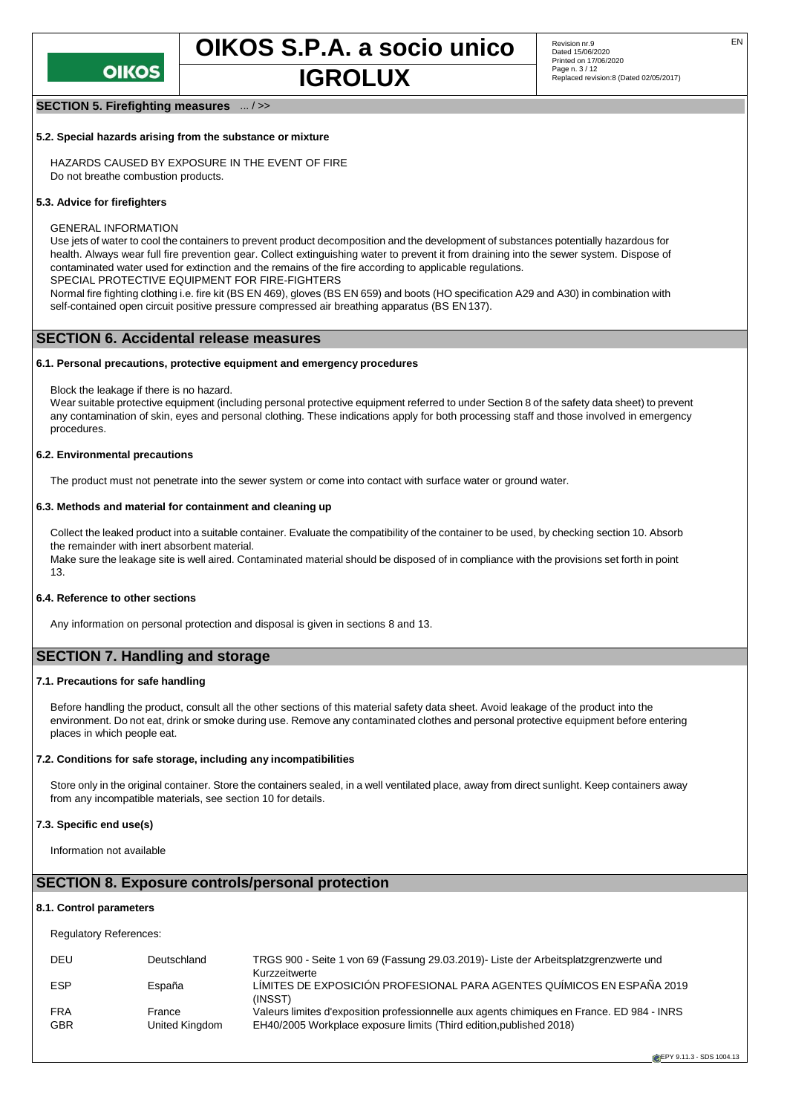

## **SECTION 5. Firefighting measures** ... / >>

#### **5.2. Special hazards arising from the substance or mixture**

HAZARDS CAUSED BY EXPOSURE IN THE EVENT OF FIRE Do not breathe combustion products.

#### **5.3. Advice for firefighters**

GENERAL INFORMATION

Use jets of water to cool the containers to prevent product decomposition and the development of substances potentially hazardous for health. Always wear full fire prevention gear. Collect extinguishing water to prevent it from draining into the sewer system. Dispose of contaminated water used for extinction and the remains of the fire according to applicable regulations.

SPECIAL PROTECTIVE EQUIPMENT FOR FIRE-FIGHTERS

Normal fire fighting clothing i.e. fire kit (BS EN 469), gloves (BS EN 659) and boots (HO specification A29 and A30) in combination with self-contained open circuit positive pressure compressed air breathing apparatus (BS EN137).

#### **SECTION 6. Accidental release measures**

#### **6.1. Personal precautions, protective equipment and emergency procedures**

Block the leakage if there is no hazard.

Wear suitable protective equipment (including personal protective equipment referred to under Section 8 of the safety data sheet) to prevent any contamination of skin, eyes and personal clothing. These indications apply for both processing staff and those involved in emergency procedures.

#### **6.2. Environmental precautions**

The product must not penetrate into the sewer system or come into contact with surface water or ground water.

#### **6.3. Methods and material for containment and cleaning up**

Collect the leaked product into a suitable container. Evaluate the compatibility of the container to be used, by checking section 10. Absorb the remainder with inert absorbent material.

Make sure the leakage site is well aired. Contaminated material should be disposed of in compliance with the provisions set forth in point 13.

#### **6.4. Reference to other sections**

Any information on personal protection and disposal is given in sections 8 and 13.

## **SECTION 7. Handling and storage**

#### **7.1. Precautions for safe handling**

Before handling the product, consult all the other sections of this material safety data sheet. Avoid leakage of the product into the environment. Do not eat, drink or smoke during use. Remove any contaminated clothes and personal protective equipment before entering places in which people eat.

#### **7.2. Conditions for safe storage, including any incompatibilities**

Store only in the original container. Store the containers sealed, in a well ventilated place, away from direct sunlight. Keep containers away from any incompatible materials, see section 10 for details.

#### **7.3. Specific end use(s)**

Information not available

#### **SECTION 8. Exposure controls/personal protection**

#### **8.1. Control parameters**

Regulatory References:

| DEU                      | Deutschland              | TRGS 900 - Seite 1 von 69 (Fassung 29.03.2019) - Liste der Arbeitsplatzgrenzwerte und<br>Kurzzeitwerte                                                            |
|--------------------------|--------------------------|-------------------------------------------------------------------------------------------------------------------------------------------------------------------|
| <b>ESP</b>               | España                   | LÍMITES DE EXPOSICIÓN PROFESIONAL PARA AGENTES QUÍMICOS EN ESPAÑA 2019<br>(INSST)                                                                                 |
| <b>FRA</b><br><b>GBR</b> | France<br>United Kingdom | Valeurs limites d'exposition professionnelle aux agents chimiques en France. ED 984 - INRS<br>EH40/2005 Workplace exposure limits (Third edition, published 2018) |

**EPY 9.11.3 - SDS 1004.13**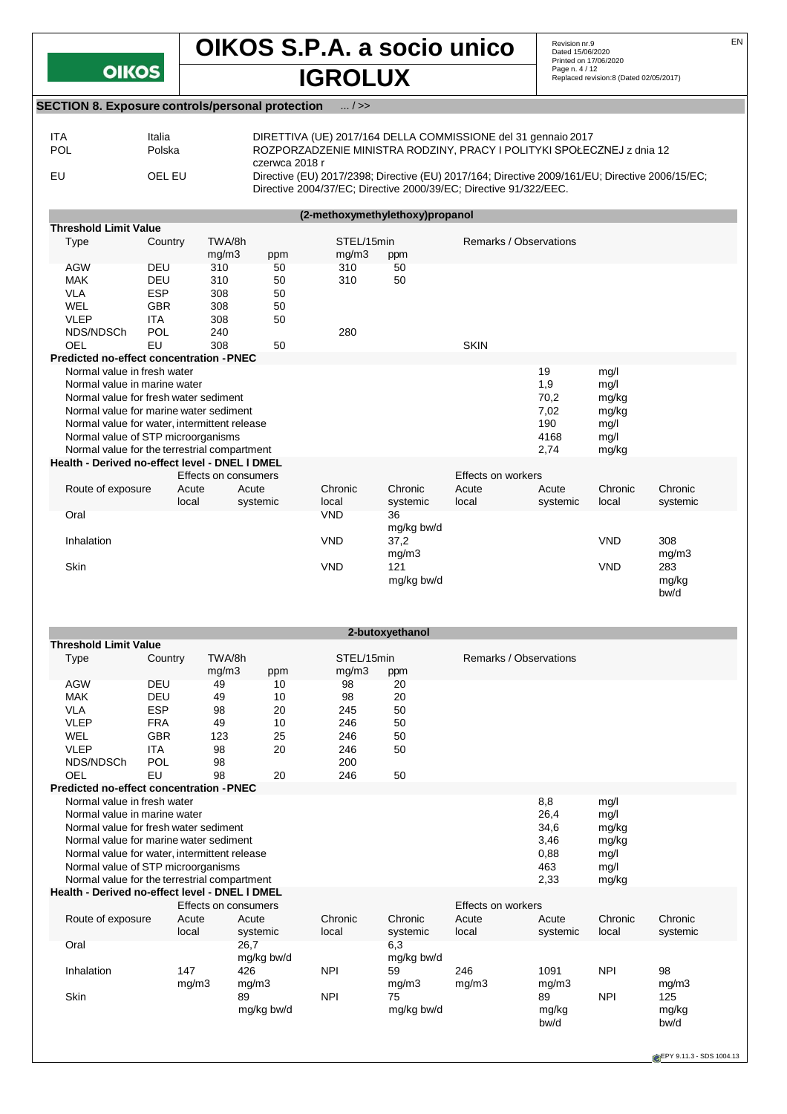# **OIKOS S.P.A. a socio unico** Revision nr.9 EN **Dated 15/06/2020**<br>
Printed on 17/06/2020<br>
Replaced revision:8 (Dated 02/05/2017)

## **SECTION 8. Exposure controls/personal protection** ... / >>

**OIKOS** 

| <b>ITA</b> | Italia | DIRETTIVA (UE) 2017/164 DELLA COMMISSIONE del 31 gennaio 2017                                                                                                                          |
|------------|--------|----------------------------------------------------------------------------------------------------------------------------------------------------------------------------------------|
| <b>POL</b> | Polska | ROZPORZADZENIE MINISTRA RODZINY, PRACY I POLITYKI SPOŁECZNEJ z dnia 12                                                                                                                 |
| EU         | OFI FU | czerwca 2018 r<br>Directive (EU) 2017/2398; Directive (EU) 2017/164; Directive 2009/161/EU; Directive 2006/15/EC;<br>Directive 2004/37/EC; Directive 2000/39/EC; Directive 91/322/EEC. |

| (2-methoxymethylethoxy)propanol                 |            |                      |          |            |            |                        |          |            |          |
|-------------------------------------------------|------------|----------------------|----------|------------|------------|------------------------|----------|------------|----------|
| <b>Threshold Limit Value</b>                    |            |                      |          |            |            |                        |          |            |          |
| Type                                            | Country    | TWA/8h               |          | STEL/15min |            | Remarks / Observations |          |            |          |
|                                                 |            | mg/m3                | ppm      | mg/m3      | ppm        |                        |          |            |          |
| <b>AGW</b>                                      | <b>DEU</b> | 310                  | 50       | 310        | 50         |                        |          |            |          |
| <b>MAK</b>                                      | <b>DEU</b> | 310                  | 50       | 310        | 50         |                        |          |            |          |
| <b>VLA</b>                                      | <b>ESP</b> | 308                  | 50       |            |            |                        |          |            |          |
| <b>WEL</b>                                      | <b>GBR</b> | 308                  | 50       |            |            |                        |          |            |          |
| <b>VLEP</b>                                     | <b>ITA</b> | 308                  | 50       |            |            |                        |          |            |          |
| NDS/NDSCh                                       | POL        | 240                  |          | 280        |            |                        |          |            |          |
| <b>OEL</b>                                      | EU         | 308                  | 50       |            |            | <b>SKIN</b>            |          |            |          |
| <b>Predicted no-effect concentration - PNEC</b> |            |                      |          |            |            |                        |          |            |          |
| Normal value in fresh water                     |            |                      |          |            |            |                        | 19       | mg/l       |          |
| Normal value in marine water                    |            |                      |          |            |            |                        | 1,9      | mg/        |          |
| Normal value for fresh water sediment           |            |                      |          |            |            |                        | 70,2     | mg/kg      |          |
| Normal value for marine water sediment          |            |                      |          |            |            |                        | 7,02     | mg/kg      |          |
| Normal value for water, intermittent release    |            |                      |          |            |            |                        | 190      | mg/l       |          |
| Normal value of STP microorganisms              |            |                      |          |            |            |                        | 4168     | mg/l       |          |
| Normal value for the terrestrial compartment    |            |                      |          |            |            |                        | 2,74     | mg/kg      |          |
| Health - Derived no-effect level - DNEL I DMEL  |            |                      |          |            |            |                        |          |            |          |
|                                                 |            | Effects on consumers |          |            |            | Effects on workers     |          |            |          |
| Route of exposure                               | Acute      |                      | Acute    | Chronic    | Chronic    | Acute                  | Acute    | Chronic    | Chronic  |
|                                                 | local      |                      | systemic | local      | systemic   | local                  | systemic | local      | systemic |
| Oral                                            |            |                      |          | <b>VND</b> | 36         |                        |          |            |          |
|                                                 |            |                      |          |            | mg/kg bw/d |                        |          |            |          |
| Inhalation                                      |            |                      |          | <b>VND</b> | 37,2       |                        |          | <b>VND</b> | 308      |
|                                                 |            |                      |          |            | mg/m3      |                        |          |            | mg/m3    |
| <b>Skin</b>                                     |            |                      |          | <b>VND</b> | 121        |                        |          | <b>VND</b> | 283      |
|                                                 |            |                      |          |            | mg/kg bw/d |                        |          |            | mg/kg    |
|                                                 |            |                      |          |            |            |                        |          |            | bw/d     |

| 2-butoxyethanol                                |            |                      |            |            |            |                        |          |            |          |
|------------------------------------------------|------------|----------------------|------------|------------|------------|------------------------|----------|------------|----------|
| <b>Threshold Limit Value</b>                   |            |                      |            |            |            |                        |          |            |          |
| Type                                           | Country    | TWA/8h               |            | STEL/15min |            | Remarks / Observations |          |            |          |
|                                                |            | mg/m3                | ppm        | mg/m3      | ppm        |                        |          |            |          |
| <b>AGW</b>                                     | <b>DEU</b> | 49                   | 10         | 98         | 20         |                        |          |            |          |
| <b>MAK</b>                                     | DEU        | 49                   | 10         | 98         | 20         |                        |          |            |          |
| <b>VLA</b>                                     | <b>ESP</b> | 98                   | 20         | 245        | 50         |                        |          |            |          |
| <b>VLEP</b>                                    | <b>FRA</b> | 49                   | 10         | 246        | 50         |                        |          |            |          |
| WEL                                            | <b>GBR</b> | 123                  | 25         | 246        | 50         |                        |          |            |          |
| <b>VLEP</b>                                    | <b>ITA</b> | 98                   | 20         | 246        | 50         |                        |          |            |          |
| NDS/NDSCh                                      | POL        | 98                   |            | 200        |            |                        |          |            |          |
| OEL                                            | EU         | 98                   | 20         | 246        | 50         |                        |          |            |          |
| Predicted no-effect concentration - PNEC       |            |                      |            |            |            |                        |          |            |          |
| Normal value in fresh water                    |            |                      |            |            |            |                        | 8,8      | mg/l       |          |
| Normal value in marine water                   |            |                      |            |            |            |                        | 26,4     | mq/1       |          |
| Normal value for fresh water sediment          |            |                      |            |            |            |                        | 34,6     | mg/kg      |          |
| Normal value for marine water sediment         |            |                      |            |            |            |                        | 3,46     | mg/kg      |          |
| Normal value for water, intermittent release   |            |                      |            |            |            |                        | 0,88     | mg/        |          |
| Normal value of STP microorganisms             |            |                      |            |            |            |                        | 463      | mg/l       |          |
| Normal value for the terrestrial compartment   |            |                      |            |            |            |                        | 2,33     | mg/kg      |          |
| Health - Derived no-effect level - DNEL I DMEL |            |                      |            |            |            |                        |          |            |          |
|                                                |            | Effects on consumers |            |            |            | Effects on workers     |          |            |          |
| Route of exposure                              | Acute      |                      | Acute      | Chronic    | Chronic    | Acute                  | Acute    | Chronic    | Chronic  |
|                                                | local      |                      | systemic   | local      | systemic   | local                  | systemic | local      | systemic |
| Oral                                           |            |                      | 26.7       |            | 6,3        |                        |          |            |          |
|                                                |            |                      | mg/kg bw/d |            | mg/kg bw/d |                        |          |            |          |
| Inhalation                                     | 147        |                      | 426        | <b>NPI</b> | 59         | 246                    | 1091     | <b>NPI</b> | 98       |
|                                                |            | mg/m3                | mg/m3      |            | mg/m3      | mg/m3                  | mg/m3    |            | mg/m3    |
| <b>Skin</b>                                    |            |                      | 89         | <b>NPI</b> | 75         |                        | 89       | <b>NPI</b> | 125      |
|                                                |            |                      | mg/kg bw/d |            | mg/kg bw/d |                        | mg/kg    |            | mg/kg    |
|                                                |            |                      |            |            |            |                        | bw/d     |            | bw/d     |
|                                                |            |                      |            |            |            |                        |          |            |          |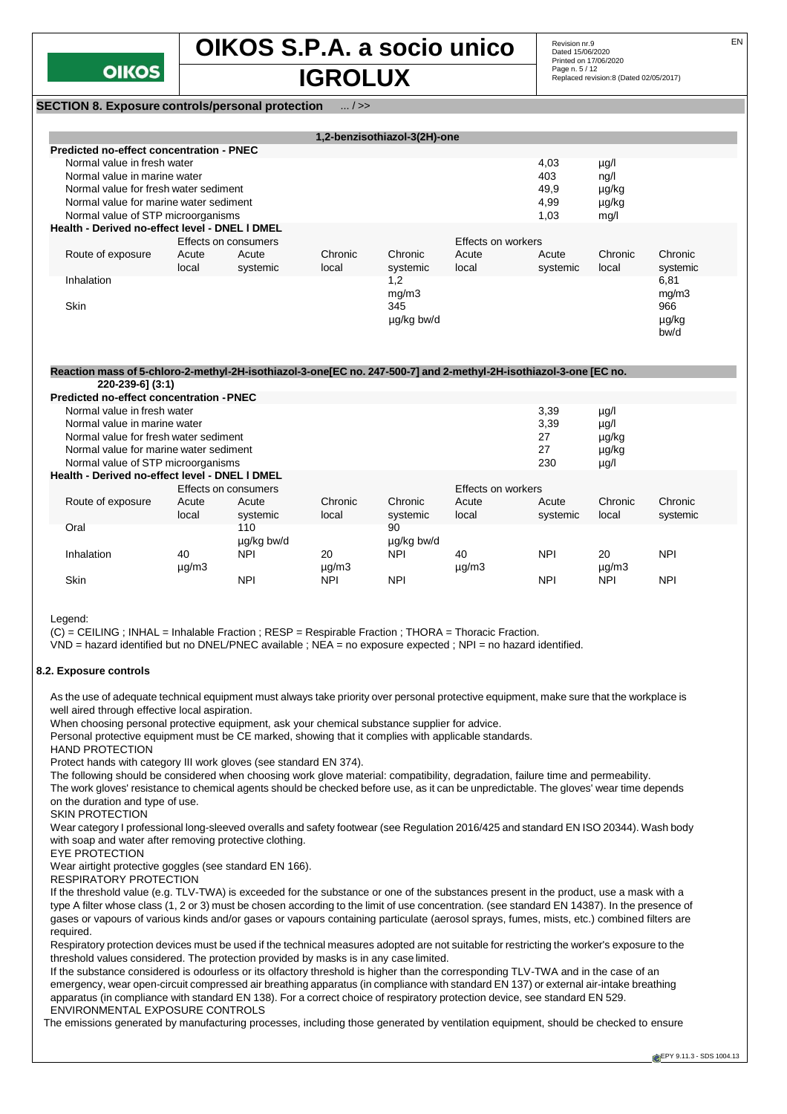

## **OIKOS S.P.A. a socio unico** Revision nr.9 Replaced revision:8 (Dated 02/05/2017) **IGROLUX**

Revision nr.9<br>Dated 15/06/2020 Printed on 17/06/2020 Page n. 5 / 12<br>Replaced revision:8 (Dated 02/05/2017)

**SECTION 8. Exposure controls/personal protection** ... / >>

|                                                |                |                      |                  | 1,2-benzisothiazol-3(2H)-one |                    |                   |                  |                      |
|------------------------------------------------|----------------|----------------------|------------------|------------------------------|--------------------|-------------------|------------------|----------------------|
| Predicted no-effect concentration - PNEC       |                |                      |                  |                              |                    |                   |                  |                      |
| Normal value in fresh water                    |                |                      |                  |                              |                    | 4,03              | µg/l             |                      |
| Normal value in marine water                   |                |                      |                  |                              |                    | 403               | nq/l             |                      |
| Normal value for fresh water sediment          |                |                      |                  |                              |                    | 49,9              | µg/kg            |                      |
| Normal value for marine water sediment         |                |                      |                  |                              |                    | 4,99              | µg/kg            |                      |
| Normal value of STP microorganisms             |                |                      |                  |                              |                    | 1.03              | mq/l             |                      |
| Health - Derived no-effect level - DNEL I DMEL |                |                      |                  |                              |                    |                   |                  |                      |
|                                                |                | Effects on consumers |                  |                              | Effects on workers |                   |                  |                      |
| Route of exposure                              | Acute<br>local | Acute<br>systemic    | Chronic<br>local | Chronic<br>systemic          | Acute<br>local     | Acute<br>systemic | Chronic<br>local | Chronic<br>systemic  |
| <b>Inhalation</b>                              |                |                      |                  | 1,2<br>mg/m3                 |                    |                   |                  | 6,81<br>mg/m3        |
| <b>Skin</b>                                    |                |                      |                  | 345<br>µg/kg bw/d            |                    |                   |                  | 966<br>µg/kg<br>bw/d |

#### **Reaction mass of 5-chloro-2-methyl-2H-isothiazol-3-one[EC no. 247-500-7] and 2-methyl-2H-isothiazol-3-one [EC no.**

| 220-239-61 (3:1)                                |                      |            |               |            |                    |            |               |            |
|-------------------------------------------------|----------------------|------------|---------------|------------|--------------------|------------|---------------|------------|
| <b>Predicted no-effect concentration - PNEC</b> |                      |            |               |            |                    |            |               |            |
| Normal value in fresh water                     |                      | 3,39       | $\mu$ g/l     |            |                    |            |               |            |
| Normal value in marine water                    |                      |            |               |            |                    | 3,39       | $\mu$ g/l     |            |
| Normal value for fresh water sediment           |                      |            |               |            |                    | 27         | µg/kg         |            |
| Normal value for marine water sediment          |                      |            |               |            |                    | 27         | µg/kg         |            |
| Normal value of STP microorganisms              |                      |            |               |            |                    | 230        | $\mu$ g/l     |            |
| Health - Derived no-effect level - DNEL I DMEL  |                      |            |               |            |                    |            |               |            |
|                                                 | Effects on consumers |            |               |            | Effects on workers |            |               |            |
| Route of exposure                               | Acute                | Acute      | Chronic       | Chronic    | Acute              | Acute      | Chronic       | Chronic    |
|                                                 | local                | systemic   | local         | systemic   | local              | systemic   | local         | systemic   |
| Oral                                            |                      | 110        |               | 90         |                    |            |               |            |
|                                                 |                      | ug/kg bw/d |               | µg/kg bw/d |                    |            |               |            |
| Inhalation                                      | 40                   | <b>NPI</b> | 20            | <b>NPI</b> | 40                 | <b>NPI</b> | 20            | <b>NPI</b> |
|                                                 | $\mu$ g/m $3$        |            | $\mu$ g/m $3$ |            | $\mu$ g/m3         |            | $\mu$ g/m $3$ |            |
| Skin                                            |                      | <b>NPI</b> | NPI           | <b>NPI</b> |                    | <b>NPI</b> | <b>NPI</b>    | <b>NPI</b> |
|                                                 |                      |            |               |            |                    |            |               |            |

Legend:

(C) = CEILING ; INHAL = Inhalable Fraction ; RESP = Respirable Fraction ; THORA = Thoracic Fraction.

VND = hazard identified but no DNEL/PNEC available ; NEA = no exposure expected ; NPI = no hazard identified.

#### **8.2. Exposure controls**

As the use of adequate technical equipment must always take priority over personal protective equipment, make sure that the workplace is well aired through effective local aspiration.

When choosing personal protective equipment, ask your chemical substance supplier for advice.

Personal protective equipment must be CE marked, showing that it complies with applicable standards.

HAND PROTECTION

Protect hands with category III work gloves (see standard EN 374).

The following should be considered when choosing work glove material: compatibility, degradation, failure time and permeability.

The work gloves' resistance to chemical agents should be checked before use, as it can be unpredictable. The gloves' wear time depends on the duration and type of use.

SKIN PROTECTION

Wear category I professional long-sleeved overalls and safety footwear (see Regulation 2016/425 and standard EN ISO 20344). Wash body with soap and water after removing protective clothing.

EYE PROTECTION

Wear airtight protective goggles (see standard EN 166).

RESPIRATORY PROTECTION

If the threshold value (e.g. TLV-TWA) is exceeded for the substance or one of the substances present in the product, use a mask with a type A filter whose class (1, 2 or 3) must be chosen according to the limit of use concentration. (see standard EN 14387). In the presence of gases or vapours of various kinds and/or gases or vapours containing particulate (aerosol sprays, fumes, mists, etc.) combined filters are required.

Respiratory protection devices must be used if the technical measures adopted are not suitable for restricting the worker's exposure to the threshold values considered. The protection provided by masks is in any case limited.

If the substance considered is odourless or its olfactory threshold is higher than the corresponding TLV-TWA and in the case of an emergency, wear open-circuit compressed air breathing apparatus (in compliance with standard EN 137) or external air-intake breathing apparatus (in compliance with standard EN 138). For a correct choice of respiratory protection device, see standard EN 529. ENVIRONMENTAL EXPOSURE CONTROLS

The emissions generated by manufacturing processes, including those generated by ventilation equipment, should be checked to ensure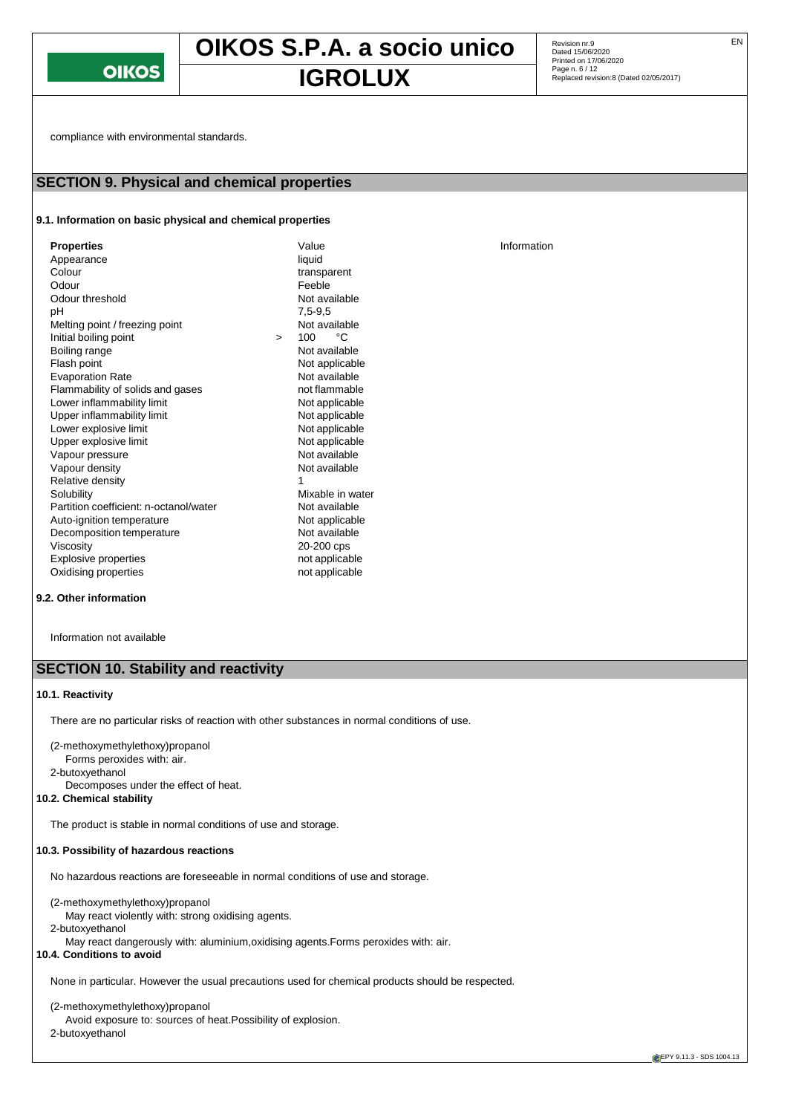

# **OIKOS S.P.A. a socio unico** Revision nr.9 **IGROLUX** Page n. 6/12 Page n. 6/12

Revision nr.9<br>Dated 15/06/2020 Printed on 17/06/2020 Page n. 6 / 12

compliance with environmental standards.

## **SECTION 9. Physical and chemical properties**

#### **9.1. Information on basic physical and chemical properties**

| Appearance<br>Colour<br>Odour<br>Odour threshold<br>рH<br>Melting point / freezing point<br>Initial boiling point<br>Boiling range<br>Flash point<br><b>Evaporation Rate</b><br>Flammability of solids and gases<br>Lower inflammability limit<br>Upper inflammability limit<br>Lower explosive limit<br>Upper explosive limit<br>Vapour pressure<br>Vapour density<br>Relative density<br>Solubility<br>Partition coefficient: n-octanol/water<br>Auto-ignition temperature<br>Decomposition temperature<br>Viscosity<br><b>Explosive properties</b> | $\geq$ | liquid<br>transparent<br>Feeble<br>Not available<br>$7,5-9,5$<br>Not available<br>°C<br>100<br>Not available<br>Not applicable<br>Not available<br>not flammable<br>Not applicable<br>Not applicable<br>Not applicable<br>Not applicable<br>Not available<br>Not available<br>1<br>Mixable in water<br>Not available<br>Not applicable<br>Not available<br>20-200 cps<br>not applicable |  |
|-------------------------------------------------------------------------------------------------------------------------------------------------------------------------------------------------------------------------------------------------------------------------------------------------------------------------------------------------------------------------------------------------------------------------------------------------------------------------------------------------------------------------------------------------------|--------|-----------------------------------------------------------------------------------------------------------------------------------------------------------------------------------------------------------------------------------------------------------------------------------------------------------------------------------------------------------------------------------------|--|
| Oxidising properties                                                                                                                                                                                                                                                                                                                                                                                                                                                                                                                                  |        | not applicable                                                                                                                                                                                                                                                                                                                                                                          |  |

**9.2. Other information**

Information not available

## **SECTION 10. Stability and reactivity**

#### **10.1. Reactivity**

There are no particular risks of reaction with other substances in normal conditions of use.

- (2-methoxymethylethoxy)propanol
- Forms peroxides with: air.
- 2-butoxyethanol

Decomposes under the effect of heat.

#### **10.2. Chemical stability**

The product is stable in normal conditions of use and storage.

#### **10.3. Possibility of hazardous reactions**

No hazardous reactions are foreseeable in normal conditions of use and storage.

(2-methoxymethylethoxy)propanol

May react violently with: strong oxidising agents.

2-butoxyethanol

May react dangerously with: aluminium,oxidising agents.Forms peroxides with: air.

**10.4. Conditions to avoid**

None in particular. However the usual precautions used for chemical products should be respected.

(2-methoxymethylethoxy)propanol Avoid exposure to: sources of heat.Possibility of explosion. 2-butoxyethanol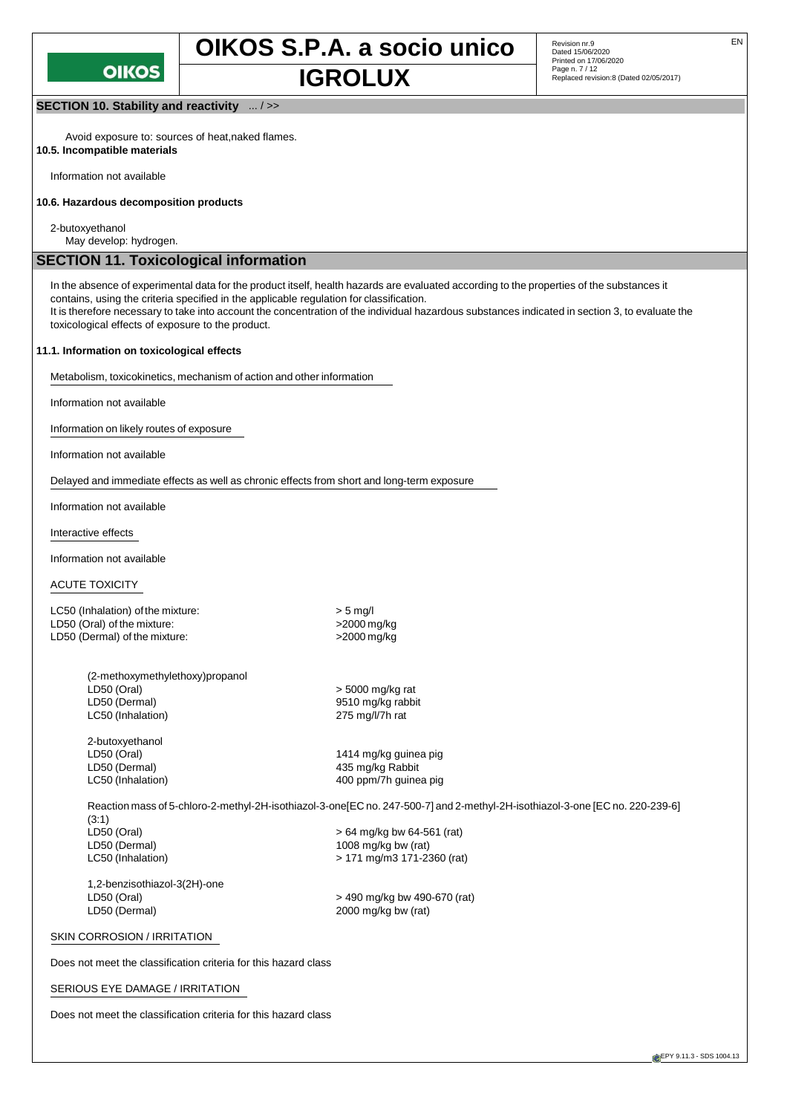

**SECTION 10. Stability and reactivity** ... / >>

Avoid exposure to: sources of heat,naked flames. **10.5. Incompatible materials**

Information not available

#### **10.6. Hazardous decomposition products**

2-butoxyethanol

May develop: hydrogen.

## **SECTION 11. Toxicological information**

In the absence of experimental data for the product itself, health hazards are evaluated according to the properties of the substances it contains, using the criteria specified in the applicable regulation for classification. It is therefore necessary to take into account the concentration of the individual hazardous substances indicated in section 3, to evaluate the

toxicological effects of exposure to the product.

#### **11.1. Information on toxicological effects**

Metabolism, toxicokinetics, mechanism of action and other information

Information not available

Information on likely routes of exposure

Information not available

Delayed and immediate effects as well as chronic effects from short and long-term exposure

Information not available

Interactive effects

Information not available

#### ACUTE TOXICITY

LC50 (Inhalation) of the mixture:  $>$  5 mg/l LD50 (Oral) of the mixture:  $>2000$  mg/kg LD50 (Dermal) of the mixture:  $>2000$  mg/kg

| (2-methoxymethylethoxy)propanol |
|---------------------------------|
|                                 |
|                                 |
|                                 |
|                                 |

2-butoxyethanol LD50 (Dermal) 435 mg/kg Rabbit

> 5000 mg/kg rat 9510 mg/kg rabbit 275 mg/l/7h rat

LD50 (Oral) 1414 mg/kg guinea pig LC50 (Inhalation) and the state of the 400 ppm/7h guinea pig

Reaction mass of 5-chloro-2-methyl-2H-isothiazol-3-one[EC no. 247-500-7] and 2-methyl-2H-isothiazol-3-one [EC no. 220-239-6] (3:1)<br>LD50 (Oral) LD50 (Oral) > 64 mg/kg bw 64-561 (rat) 1008 mg/kg bw (rat) LC50 (Inhalation) > 171 mg/m3 171-2360 (rat)

1,2-benzisothiazol-3(2H)-one LD50 (Oral) > 490 mg/kg bw 490-670 (rat)

2000 mg/kg bw (rat)

#### SKIN CORROSION / IRRITATION

Does not meet the classification criteria for this hazard class

#### SERIOUS EYE DAMAGE / IRRITATION

Does not meet the classification criteria for this hazard class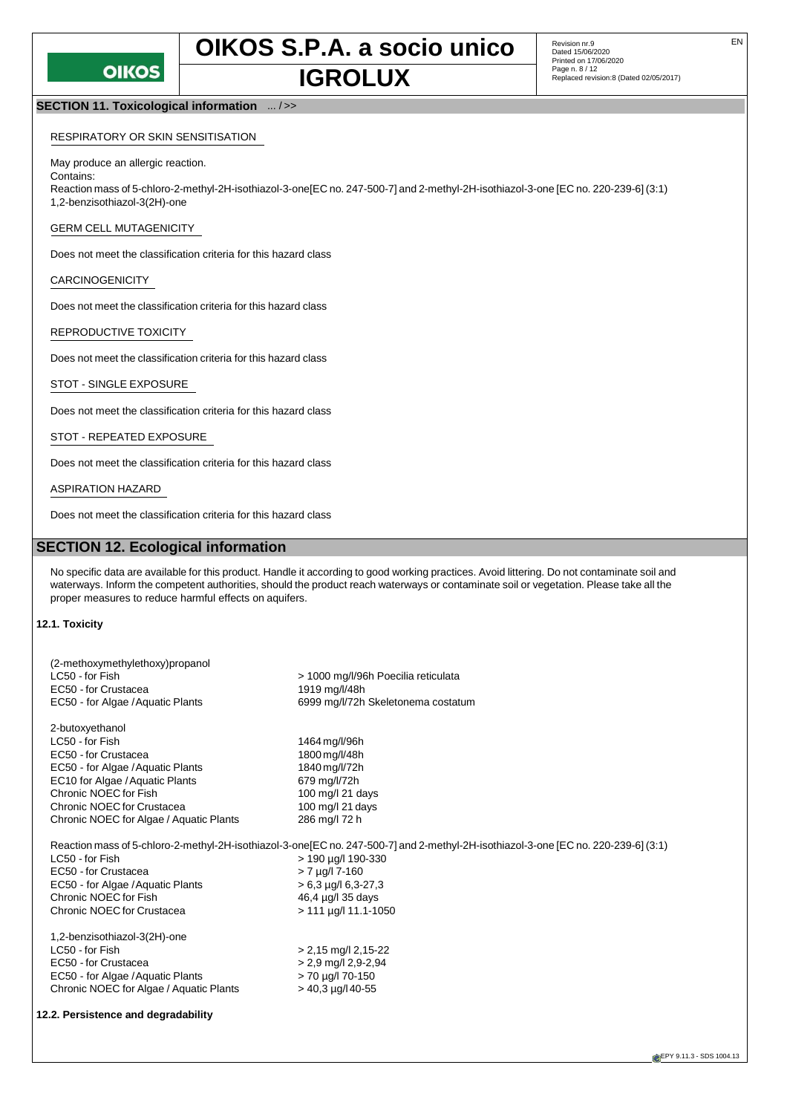**OIKOS S.P.A. a socio unico** Revision nr.9 **IGROLUX** Page n. 8/12 Cated 02/05/2017)

#### **SECTION 11. Toxicological information** ... / >>

#### RESPIRATORY OR SKIN SENSITISATION

#### May produce an allergic reaction.

Reaction mass of 5-chloro-2-methyl-2H-isothiazol-3-one[EC no. 247-500-7] and 2-methyl-2H-isothiazol-3-one [EC no. 220-239-6] (3:1) 1,2-benzisothiazol-3(2H)-one

#### GERM CELL MUTAGENICITY

Does not meet the classification criteria for this hazard class

#### CARCINOGENICITY

Contains:

Does not meet the classification criteria for this hazard class

#### REPRODUCTIVE TOXICITY

Does not meet the classification criteria for this hazard class

#### STOT - SINGLE EXPOSURE

Does not meet the classification criteria for this hazard class

#### STOT - REPEATED EXPOSURE

Does not meet the classification criteria for this hazard class

#### ASPIRATION HAZARD

Does not meet the classification criteria for this hazard class

## **SECTION 12. Ecological information**

No specific data are available for this product. Handle it according to good working practices. Avoid littering. Do not contaminate soil and waterways. Inform the competent authorities, should the product reach waterways or contaminate soil or vegetation. Please take all the proper measures to reduce harmful effects on aquifers.

#### **12.1. Toxicity**

| (2-methoxymethylethoxy)propanol<br>LC50 - for Fish<br>EC50 - for Crustacea<br>EC50 - for Algae / Aquatic Plants | > 1000 mg/l/96h Poecilia reticulata<br>1919 mg/l/48h<br>6999 mg/l/72h Skeletonema costatum                                         |
|-----------------------------------------------------------------------------------------------------------------|------------------------------------------------------------------------------------------------------------------------------------|
| 2-butoxyethanol                                                                                                 |                                                                                                                                    |
| LC50 - for Fish                                                                                                 | 1464 mg/l/96h                                                                                                                      |
| EC50 - for Crustacea                                                                                            | 1800 mg/l/48h                                                                                                                      |
| EC50 - for Algae / Aquatic Plants                                                                               | 1840 mg/l/72h                                                                                                                      |
| EC10 for Algae / Aquatic Plants                                                                                 | 679 mg/l/72h                                                                                                                       |
| Chronic NOEC for Fish                                                                                           | 100 mg/l 21 days                                                                                                                   |
| Chronic NOEC for Crustacea                                                                                      | 100 mg/l 21 days                                                                                                                   |
| Chronic NOEC for Algae / Aquatic Plants                                                                         | 286 mg/l 72 h                                                                                                                      |
|                                                                                                                 | Reaction mass of 5-chloro-2-methyl-2H-isothiazol-3-one[EC no. 247-500-7] and 2-methyl-2H-isothiazol-3-one [EC no. 220-239-6] (3:1) |
| LC50 - for Fish                                                                                                 | > 190 µg/l 190-330                                                                                                                 |
| EC50 - for Crustacea                                                                                            | $> 7$ µg/l 7-160                                                                                                                   |
| EC50 - for Algae / Aquatic Plants                                                                               | $> 6.3$ µg/l 6.3-27.3                                                                                                              |
| Chronic NOEC for Fish                                                                                           | 46,4 µg/l 35 days                                                                                                                  |
| Chronic NOEC for Crustacea                                                                                      | $> 111 \mu g/l 11.1 - 1050$                                                                                                        |
| 1,2-benzisothiazol-3(2H)-one                                                                                    |                                                                                                                                    |
| LC50 - for Fish                                                                                                 | $> 2,15$ mg/l 2,15-22                                                                                                              |
| EC50 - for Crustacea                                                                                            | $> 2.9$ mg/l 2,9-2,94                                                                                                              |
| EC50 - for Algae / Aquatic Plants                                                                               | > 70 µg/l 70-150                                                                                                                   |
| Chronic NOEC for Algae / Aquatic Plants                                                                         | $>$ 40,3 µg/l 40-55                                                                                                                |
|                                                                                                                 |                                                                                                                                    |

#### **12.2. Persistence and degradability**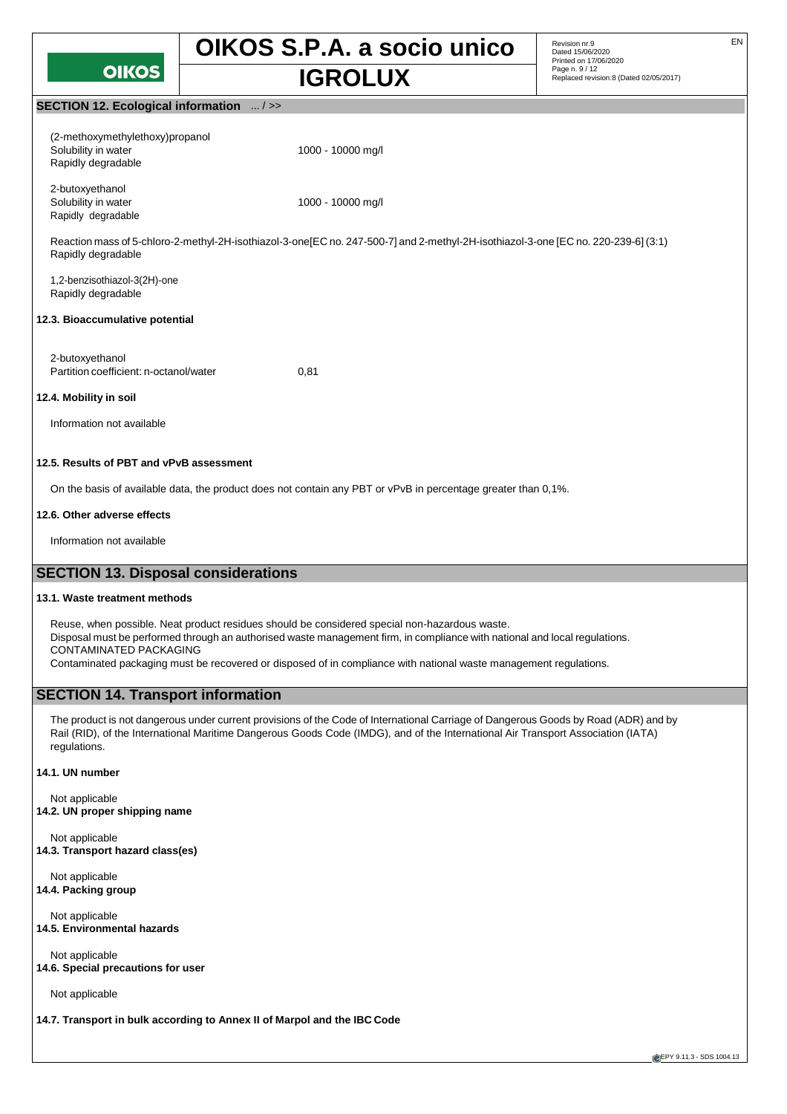

**OIKOS S.P.A. a socio unico** Revision nr.9 Replaced revision:8 (Dated 02/05/2017) **IGROLUX**

Revision nr.9<br>Dated 15/06/2020 Printed on 17/06/2020 Page n. 9 / 12<br>Replaced revision:8 (Dated 02/05/2017)

#### **SECTION 12. Ecological information** ... / >>

| (2-methoxymethylethoxy)propanol |                   |
|---------------------------------|-------------------|
| Solubility in water             | 1000 - 10000 mg/l |
| Rapidly degradable              |                   |
|                                 |                   |
| 2-butoxyethanol                 |                   |
| Solubility in water             | 1000 - 10000 mg/l |
| Rapidly degradable              |                   |

Reaction mass of 5-chloro-2-methyl-2H-isothiazol-3-one[EC no. 247-500-7] and 2-methyl-2H-isothiazol-3-one [EC no. 220-239-6] (3:1) Rapidly degradable

1,2-benzisothiazol-3(2H)-one Rapidly degradable

#### **12.3. Bioaccumulative potential**

2-butoxyethanol Partition coefficient: n-octanol/water 0,81

#### **12.4. Mobility in soil**

Information not available

## **12.5. Results of PBT and vPvB assessment**

On the basis of available data, the product does not contain any PBT or vPvB in percentage greater than 0,1%.

#### **12.6. Other adverse effects**

Information not available

## **SECTION 13. Disposal considerations**

#### **13.1. Waste treatment methods**

Reuse, when possible. Neat product residues should be considered special non-hazardous waste. Disposal must be performed through an authorised waste management firm, in compliance with national and local regulations. CONTAMINATED PACKAGING Contaminated packaging must be recovered or disposed of in compliance with national waste management regulations.

## **SECTION 14. Transport information**

The product is not dangerous under current provisions of the Code of International Carriage of Dangerous Goods by Road (ADR) and by Rail (RID), of the International Maritime Dangerous Goods Code (IMDG), and of the International Air Transport Association (IATA) regulations.

#### **14.1. UN number**

Not applicable **14.2. UN proper shipping name**

Not applicable **14.3. Transport hazard class(es)**

Not applicable **14.4. Packing group**

Not applicable **14.5. Environmental hazards**

Not applicable **14.6. Special precautions for user**

Not applicable

**14.7. Transport in bulk according to Annex II of Marpol and the IBC Code**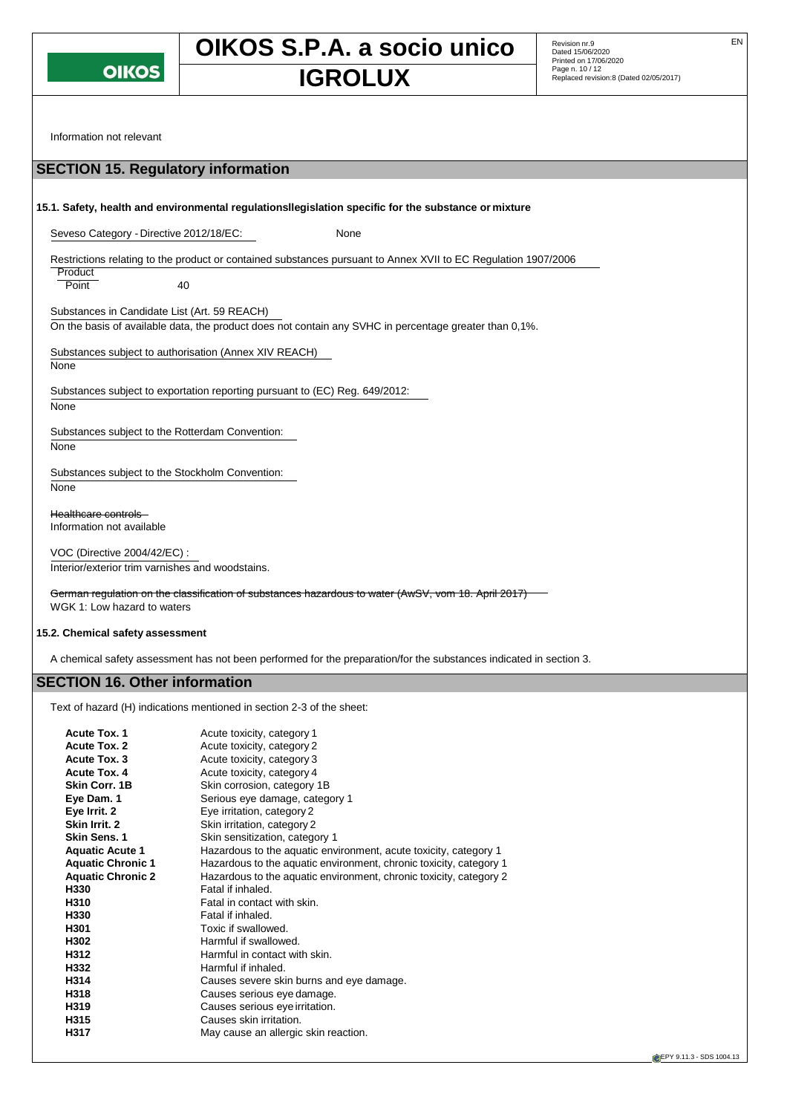

# **OIKOS S.P.A. a socio unico** Revision nr.9 **IGROLUX** Page n. 10/12<br>Replaced revision:8 (Dated 02/05/2017)

Information not relevant

## **SECTION 15. Regulatory information 15.1. Safety, health and environmental regulationsllegislation specific for the substance or mixture** Seveso Category - Directive 2012/18/EC: None Restrictions relating to the product or contained substances pursuant to Annex XVII to EC Regulation 1907/2006 **Product** Point 40 Substances in Candidate List (Art. 59 REACH) On the basis of available data, the product does not contain any SVHC in percentage greater than 0,1%. Substances subject to authorisation (Annex XIV REACH) None Substances subject to exportation reporting pursuant to (EC) Reg. 649/2012: None Substances subject to the Rotterdam Convention: None Substances subject to the Stockholm Convention: None Healthcare controls Information not available VOC (Directive 2004/42/EC) :

Interior/exterior trim varnishes and woodstains.

German regulation on the classification of substances hazardous to water (AwSV, vom 18. April 2017) WGK 1: Low hazard to waters

#### **15.2. Chemical safety assessment**

A chemical safety assessment has not been performed for the preparation/for the substances indicated in section 3.

## **SECTION 16. Other information**

Text of hazard (H) indications mentioned in section 2-3 of the sheet:

| Acute toxicity, category 1<br>Acute toxicity, category 2<br>Acute toxicity, category 3<br>Acute toxicity, category 4<br>Skin corrosion, category 1B<br>Serious eye damage, category 1<br>Eye irritation, category 2<br>Skin irritation, category 2<br>Skin sensitization, category 1<br>Hazardous to the aquatic environment, acute toxicity, category 1<br>Hazardous to the aquatic environment, chronic toxicity, category 1<br>Hazardous to the aquatic environment, chronic toxicity, category 2<br>Fatal if inhaled.<br>Fatal in contact with skin.<br>Fatal if inhaled.<br>Toxic if swallowed.<br>Harmful if swallowed.<br>Harmful in contact with skin.<br>Harmful if inhaled.<br>Causes severe skin burns and eye damage.<br>Causes serious eye damage. |
|-----------------------------------------------------------------------------------------------------------------------------------------------------------------------------------------------------------------------------------------------------------------------------------------------------------------------------------------------------------------------------------------------------------------------------------------------------------------------------------------------------------------------------------------------------------------------------------------------------------------------------------------------------------------------------------------------------------------------------------------------------------------|
| Causes serious eye irritation.<br>Causes skin irritation.<br>May cause an allergic skin reaction.                                                                                                                                                                                                                                                                                                                                                                                                                                                                                                                                                                                                                                                               |
|                                                                                                                                                                                                                                                                                                                                                                                                                                                                                                                                                                                                                                                                                                                                                                 |
|                                                                                                                                                                                                                                                                                                                                                                                                                                                                                                                                                                                                                                                                                                                                                                 |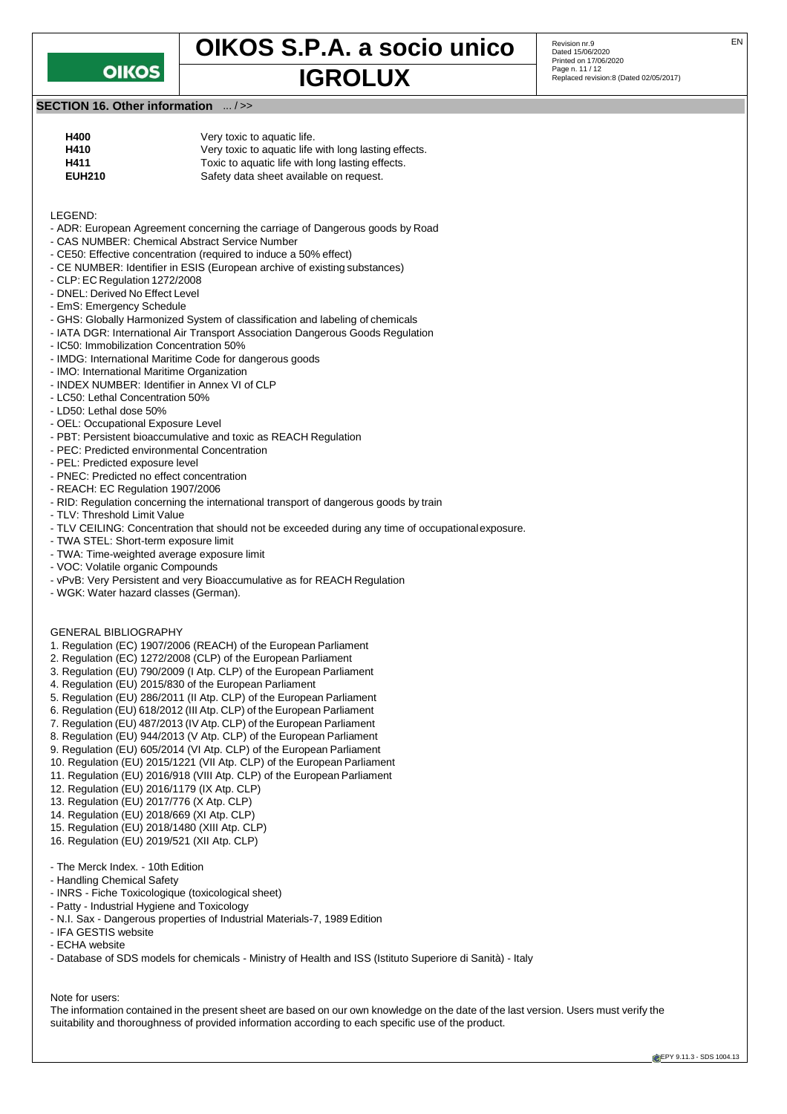

## **OIKOS S.P.A. a socio unico** Revision nr.9 **IGROLUX** Page n. 11/12<br>Replaced revision:8 (Dated 02/05/2017)

Revision nr.9<br>Dated 15/06/2020 Printed on 17/06/2020 Page n. 11 / 12

## **SECTION 16. Other information** ... / >>

| H400          | Very toxic to aquatic life.                           |
|---------------|-------------------------------------------------------|
| H410          | Very toxic to aquatic life with long lasting effects. |
| H411          | Toxic to aquatic life with long lasting effects.      |
| <b>EUH210</b> | Safety data sheet available on request.               |

#### LEGEND:

- ADR: European Agreement concerning the carriage of Dangerous goods by Road
- CAS NUMBER: Chemical Abstract Service Number
- CE50: Effective concentration (required to induce a 50% effect)
- CE NUMBER: Identifier in ESIS (European archive of existing substances)
- CLP: EC Regulation 1272/2008
- DNEL: Derived No Effect Level
- EmS: Emergency Schedule
- GHS: Globally Harmonized System of classification and labeling of chemicals
- IATA DGR: International Air Transport Association Dangerous Goods Regulation
- IC50: Immobilization Concentration 50%
- IMDG: International Maritime Code for dangerous goods
- IMO: International Maritime Organization
- INDEX NUMBER: Identifier in Annex VI of CLP
- LC50: Lethal Concentration 50%
- LD50: Lethal dose 50%
- OEL: Occupational Exposure Level
- PBT: Persistent bioaccumulative and toxic as REACH Regulation
- PEC: Predicted environmental Concentration
- PEL: Predicted exposure level
- PNEC: Predicted no effect concentration
- REACH: EC Regulation 1907/2006
- RID: Regulation concerning the international transport of dangerous goods by train
- TLV: Threshold Limit Value
- TLV CEILING: Concentration that should not be exceeded during any time of occupationalexposure.
- TWA STEL: Short-term exposure limit
- TWA: Time-weighted average exposure limit
- VOC: Volatile organic Compounds
- vPvB: Very Persistent and very Bioaccumulative as for REACH Regulation
- WGK: Water hazard classes (German).
- GENERAL BIBLIOGRAPHY
- 1. Regulation (EC) 1907/2006 (REACH) of the European Parliament
- 2. Regulation (EC) 1272/2008 (CLP) of the European Parliament
- 3. Regulation (EU) 790/2009 (I Atp. CLP) of the European Parliament
- 4. Regulation (EU) 2015/830 of the European Parliament
- 5. Regulation (EU) 286/2011 (II Atp. CLP) of the European Parliament
- 6. Regulation (EU) 618/2012 (III Atp. CLP) of the European Parliament
- 7. Regulation (EU) 487/2013 (IV Atp. CLP) of the European Parliament
- 8. Regulation (EU) 944/2013 (V Atp. CLP) of the European Parliament
- 9. Regulation (EU) 605/2014 (VI Atp. CLP) of the European Parliament
- 10. Regulation (EU) 2015/1221 (VII Atp. CLP) of the European Parliament
- 11. Regulation (EU) 2016/918 (VIII Atp. CLP) of the European Parliament
- 12. Regulation (EU) 2016/1179 (IX Atp. CLP)
- 13. Regulation (EU) 2017/776 (X Atp. CLP)
- 14. Regulation (EU) 2018/669 (XI Atp. CLP)
- 15. Regulation (EU) 2018/1480 (XIII Atp. CLP)
- 16. Regulation (EU) 2019/521 (XII Atp. CLP)
- The Merck Index. 10th Edition
- Handling Chemical Safety
- INRS Fiche Toxicologique (toxicological sheet)
- Patty Industrial Hygiene and Toxicology
- N.I. Sax Dangerous properties of Industrial Materials-7, 1989 Edition
- IFA GESTIS website
- ECHA website
- Database of SDS models for chemicals Ministry of Health and ISS (Istituto Superiore di Sanità) Italy

Note for users:

The information contained in the present sheet are based on our own knowledge on the date of the last version. Users must verify the suitability and thoroughness of provided information according to each specific use of the product.